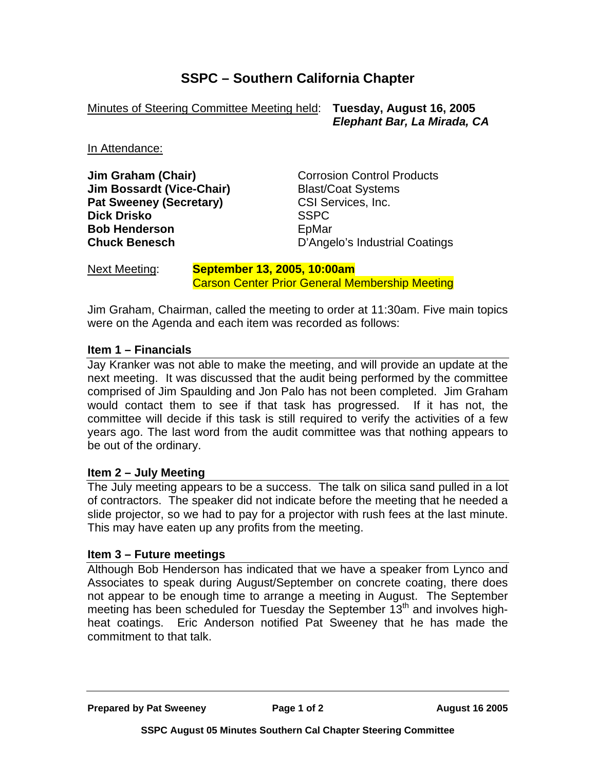# **SSPC – Southern California Chapter**

Minutes of Steering Committee Meeting held: **Tuesday, August 16, 2005**

 *Elephant Bar, La Mirada, CA* 

In Attendance:

**Jim Graham (Chair) Corrosion Control Products Jim Bossardt (Vice-Chair)** Blast/Coat Systems **Pat Sweeney (Secretary)** CSI Services, Inc. **Dick Drisko** SSPC **Bob Henderson EpMar** 

**Chuck Benesch** D'Angelo's Industrial Coatings

Next Meeting: **September 13, 2005, 10:00am** Carson Center Prior General Membership Meeting

Jim Graham, Chairman, called the meeting to order at 11:30am. Five main topics were on the Agenda and each item was recorded as follows:

#### **Item 1 – Financials**

Jay Kranker was not able to make the meeting, and will provide an update at the next meeting. It was discussed that the audit being performed by the committee comprised of Jim Spaulding and Jon Palo has not been completed. Jim Graham would contact them to see if that task has progressed. If it has not, the committee will decide if this task is still required to verify the activities of a few years ago. The last word from the audit committee was that nothing appears to be out of the ordinary.

#### **Item 2 – July Meeting**

The July meeting appears to be a success. The talk on silica sand pulled in a lot of contractors. The speaker did not indicate before the meeting that he needed a slide projector, so we had to pay for a projector with rush fees at the last minute. This may have eaten up any profits from the meeting.

#### **Item 3 – Future meetings**

Although Bob Henderson has indicated that we have a speaker from Lynco and Associates to speak during August/September on concrete coating, there does not appear to be enough time to arrange a meeting in August. The September meeting has been scheduled for Tuesday the September 13<sup>th</sup> and involves highheat coatings. Eric Anderson notified Pat Sweeney that he has made the commitment to that talk.

**Prepared by Pat Sweeney Page 1 of 2 August 16 2005**